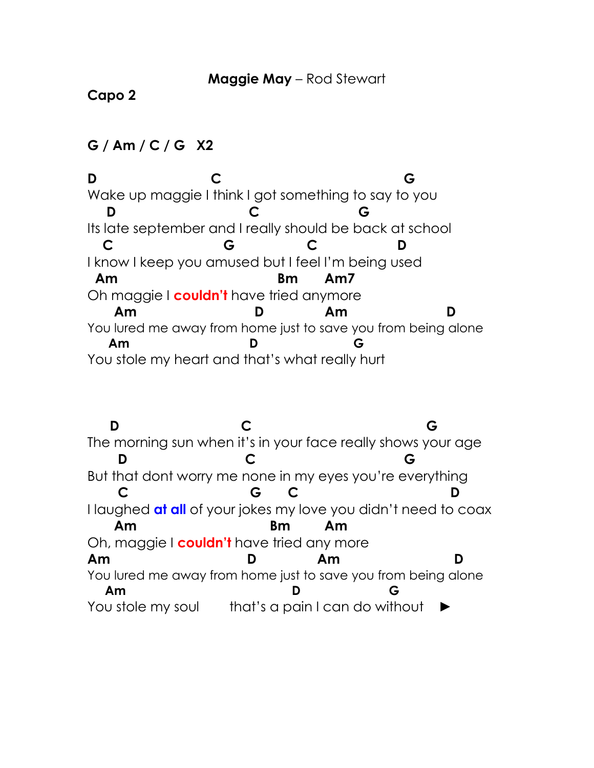## **Capo 2**

## **G / Am / C / G X2**

**D C G** Wake up maggie I think I got something to say to you  **D C G** Its late september and I really should be back at school  **C G C D** I know I keep you amused but I feel I'm being used  **Am Bm Am7** Oh maggie I **couldn't** have tried anymore  **Am D Am D** You lured me away from home just to save you from being alone  **Am D G** You stole my heart and that's what really hurt

 **D C G** The morning sun when it's in your face really shows your age  **D C G** But that dont worry me none in my eyes you're everything  **C G C D** I laughed **at all** of your jokes my love you didn't need to coax  **Am Bm Am** Oh, maggie I **couldn't** have tried any more **Am D Am D** You lured me away from home just to save you from being alone  **Am D G** You stole my soul that's a pain I can do without